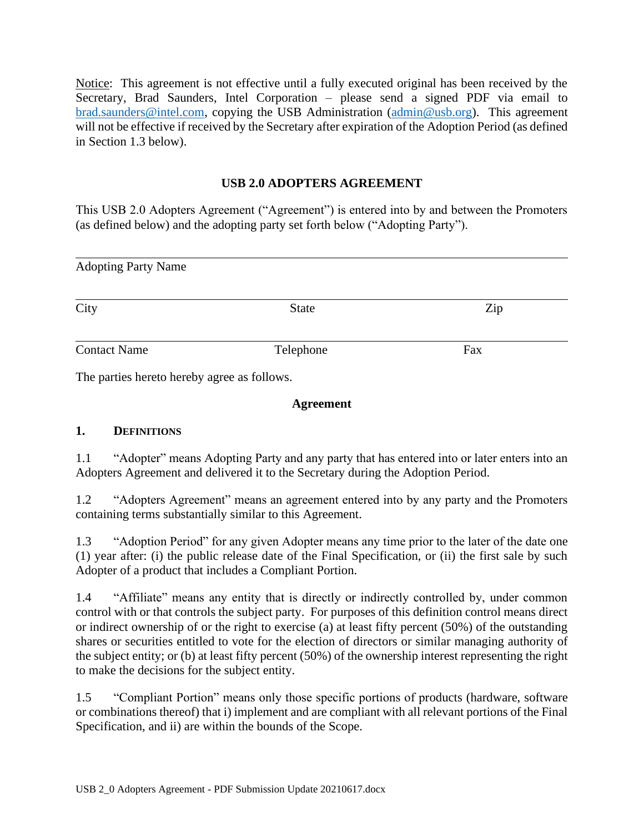Notice:This agreement is not effective until a fully executed original has been received by the Secretary, Brad Saunders, Intel Corporation – please send a signed PDF via email to [brad.saunders@intel.com,](mailto:brad.saunders@intel.com) copying the USB Administration [\(admin@usb.org\)](mailto:admin@usb.org). This agreement will not be effective if received by the Secretary after expiration of the Adoption Period (as defined in Section 1.3 below).

### **USB 2.0 ADOPTERS AGREEMENT**

This USB 2.0 Adopters Agreement ("Agreement") is entered into by and between the Promoters (as defined below) and the adopting party set forth below ("Adopting Party").

| <b>Adopting Party Name</b> |              |     |  |
|----------------------------|--------------|-----|--|
| City                       | <b>State</b> | Zip |  |
| <b>Contact Name</b>        | Telephone    | Fax |  |

The parties hereto hereby agree as follows.

#### **Agreement**

#### **1. DEFINITIONS**

1.1 "Adopter" means Adopting Party and any party that has entered into or later enters into an Adopters Agreement and delivered it to the Secretary during the Adoption Period.

1.2 "Adopters Agreement" means an agreement entered into by any party and the Promoters containing terms substantially similar to this Agreement.

1.3 "Adoption Period" for any given Adopter means any time prior to the later of the date one (1) year after: (i) the public release date of the Final Specification, or (ii) the first sale by such Adopter of a product that includes a Compliant Portion.

1.4 "Affiliate" means any entity that is directly or indirectly controlled by, under common control with or that controls the subject party. For purposes of this definition control means direct or indirect ownership of or the right to exercise (a) at least fifty percent (50%) of the outstanding shares or securities entitled to vote for the election of directors or similar managing authority of the subject entity; or (b) at least fifty percent (50%) of the ownership interest representing the right to make the decisions for the subject entity.

1.5 "Compliant Portion" means only those specific portions of products (hardware, software or combinations thereof) that i) implement and are compliant with all relevant portions of the Final Specification, and ii) are within the bounds of the Scope.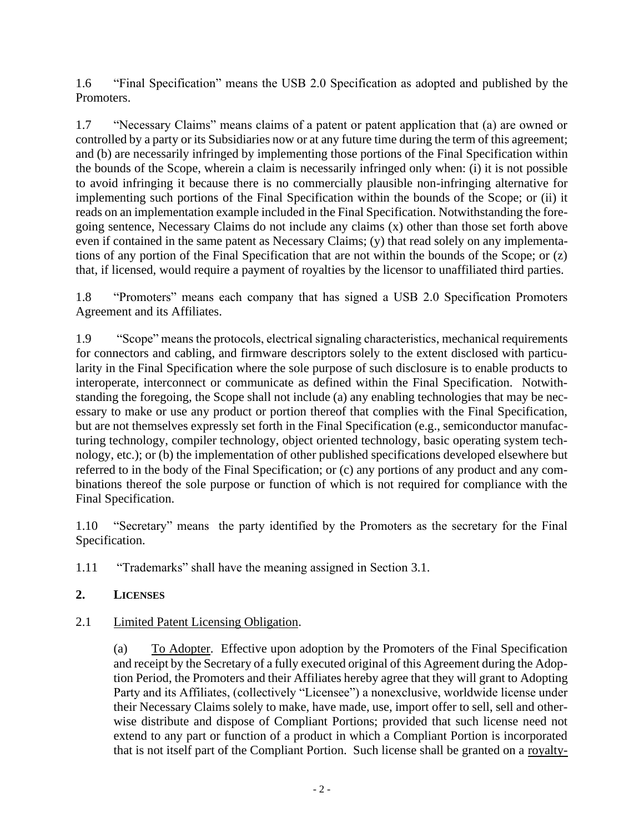1.6 "Final Specification" means the USB 2.0 Specification as adopted and published by the Promoters.

1.7 "Necessary Claims" means claims of a patent or patent application that (a) are owned or controlled by a party or its Subsidiaries now or at any future time during the term of this agreement; and (b) are necessarily infringed by implementing those portions of the Final Specification within the bounds of the Scope, wherein a claim is necessarily infringed only when: (i) it is not possible to avoid infringing it because there is no commercially plausible non-infringing alternative for implementing such portions of the Final Specification within the bounds of the Scope; or (ii) it reads on an implementation example included in the Final Specification. Notwithstanding the foregoing sentence, Necessary Claims do not include any claims (x) other than those set forth above even if contained in the same patent as Necessary Claims; (y) that read solely on any implementations of any portion of the Final Specification that are not within the bounds of the Scope; or (z) that, if licensed, would require a payment of royalties by the licensor to unaffiliated third parties.

1.8 "Promoters" means each company that has signed a USB 2.0 Specification Promoters Agreement and its Affiliates.

1.9 "Scope" means the protocols, electrical signaling characteristics, mechanical requirements for connectors and cabling, and firmware descriptors solely to the extent disclosed with particularity in the Final Specification where the sole purpose of such disclosure is to enable products to interoperate, interconnect or communicate as defined within the Final Specification. Notwithstanding the foregoing, the Scope shall not include (a) any enabling technologies that may be necessary to make or use any product or portion thereof that complies with the Final Specification, but are not themselves expressly set forth in the Final Specification (e.g., semiconductor manufacturing technology, compiler technology, object oriented technology, basic operating system technology, etc.); or (b) the implementation of other published specifications developed elsewhere but referred to in the body of the Final Specification; or (c) any portions of any product and any combinations thereof the sole purpose or function of which is not required for compliance with the Final Specification.

1.10 "Secretary" means the party identified by the Promoters as the secretary for the Final Specification.

1.11 "Trademarks" shall have the meaning assigned in Section [3.1.](#page-2-0)

### **2. LICENSES**

### <span id="page-1-0"></span>2.1 Limited Patent Licensing Obligation.

(a) To Adopter. Effective upon adoption by the Promoters of the Final Specification and receipt by the Secretary of a fully executed original of this Agreement during the Adoption Period, the Promoters and their Affiliates hereby agree that they will grant to Adopting Party and its Affiliates, (collectively "Licensee") a nonexclusive, worldwide license under their Necessary Claims solely to make, have made, use, import offer to sell, sell and otherwise distribute and dispose of Compliant Portions; provided that such license need not extend to any part or function of a product in which a Compliant Portion is incorporated that is not itself part of the Compliant Portion. Such license shall be granted on a royalty-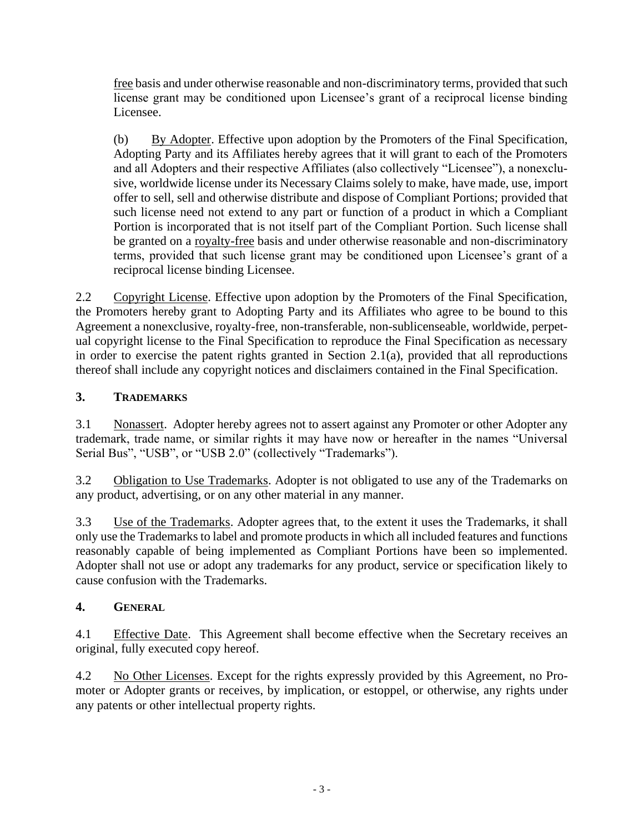free basis and under otherwise reasonable and non-discriminatory terms, provided that such license grant may be conditioned upon Licensee's grant of a reciprocal license binding Licensee.

(b) By Adopter. Effective upon adoption by the Promoters of the Final Specification, Adopting Party and its Affiliates hereby agrees that it will grant to each of the Promoters and all Adopters and their respective Affiliates (also collectively "Licensee"), a nonexclusive, worldwide license under its Necessary Claims solely to make, have made, use, import offer to sell, sell and otherwise distribute and dispose of Compliant Portions; provided that such license need not extend to any part or function of a product in which a Compliant Portion is incorporated that is not itself part of the Compliant Portion. Such license shall be granted on a royalty-free basis and under otherwise reasonable and non-discriminatory terms, provided that such license grant may be conditioned upon Licensee's grant of a reciprocal license binding Licensee.

2.2 Copyright License. Effective upon adoption by the Promoters of the Final Specification, the Promoters hereby grant to Adopting Party and its Affiliates who agree to be bound to this Agreement a nonexclusive, royalty-free, non-transferable, non-sublicenseable, worldwide, perpetual copyright license to the Final Specification to reproduce the Final Specification as necessary in order to exercise the patent rights granted in Section [2.1\(a\),](#page-1-0) provided that all reproductions thereof shall include any copyright notices and disclaimers contained in the Final Specification.

## **3. TRADEMARKS**

<span id="page-2-0"></span>3.1 Nonassert. Adopter hereby agrees not to assert against any Promoter or other Adopter any trademark, trade name, or similar rights it may have now or hereafter in the names "Universal Serial Bus", "USB", or "USB 2.0" (collectively "Trademarks").

3.2 Obligation to Use Trademarks. Adopter is not obligated to use any of the Trademarks on any product, advertising, or on any other material in any manner.

3.3 Use of the Trademarks. Adopter agrees that, to the extent it uses the Trademarks, it shall only use the Trademarks to label and promote products in which all included features and functions reasonably capable of being implemented as Compliant Portions have been so implemented. Adopter shall not use or adopt any trademarks for any product, service or specification likely to cause confusion with the Trademarks.

# **4. GENERAL**

4.1 Effective Date. This Agreement shall become effective when the Secretary receives an original, fully executed copy hereof.

4.2 No Other Licenses. Except for the rights expressly provided by this Agreement, no Promoter or Adopter grants or receives, by implication, or estoppel, or otherwise, any rights under any patents or other intellectual property rights.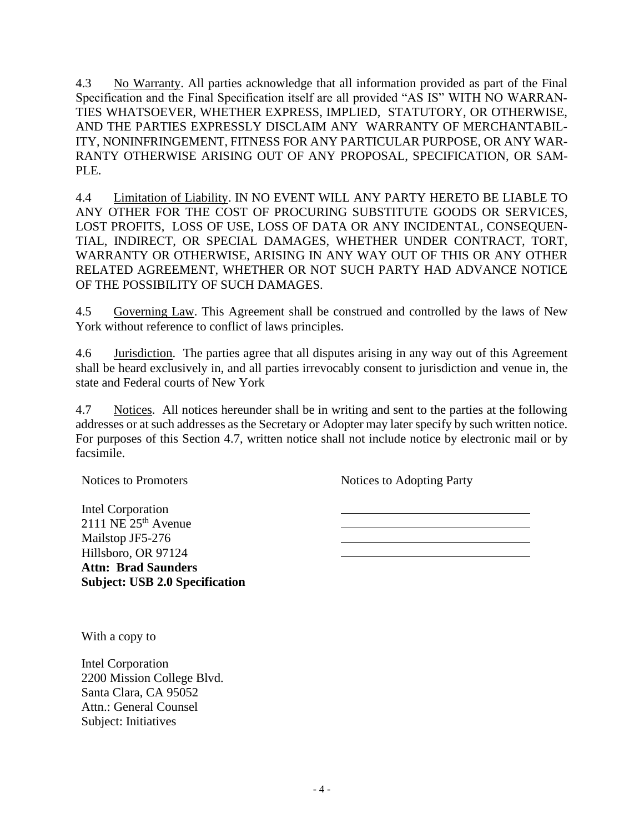4.3 No Warranty. All parties acknowledge that all information provided as part of the Final Specification and the Final Specification itself are all provided "AS IS" WITH NO WARRAN-TIES WHATSOEVER, WHETHER EXPRESS, IMPLIED, STATUTORY, OR OTHERWISE, AND THE PARTIES EXPRESSLY DISCLAIM ANY WARRANTY OF MERCHANTABIL-ITY, NONINFRINGEMENT, FITNESS FOR ANY PARTICULAR PURPOSE, OR ANY WAR-RANTY OTHERWISE ARISING OUT OF ANY PROPOSAL, SPECIFICATION, OR SAM-PLE.

4.4 Limitation of Liability. IN NO EVENT WILL ANY PARTY HERETO BE LIABLE TO ANY OTHER FOR THE COST OF PROCURING SUBSTITUTE GOODS OR SERVICES, LOST PROFITS, LOSS OF USE, LOSS OF DATA OR ANY INCIDENTAL, CONSEQUEN-TIAL, INDIRECT, OR SPECIAL DAMAGES, WHETHER UNDER CONTRACT, TORT, WARRANTY OR OTHERWISE, ARISING IN ANY WAY OUT OF THIS OR ANY OTHER RELATED AGREEMENT, WHETHER OR NOT SUCH PARTY HAD ADVANCE NOTICE OF THE POSSIBILITY OF SUCH DAMAGES.

4.5 Governing Law. This Agreement shall be construed and controlled by the laws of New York without reference to conflict of laws principles.

4.6 Jurisdiction. The parties agree that all disputes arising in any way out of this Agreement shall be heard exclusively in, and all parties irrevocably consent to jurisdiction and venue in, the state and Federal courts of New York

<span id="page-3-0"></span>4.7 Notices. All notices hereunder shall be in writing and sent to the parties at the following addresses or at such addresses as the Secretary or Adopter may later specify by such written notice. For purposes of this Section [4.7,](#page-3-0) written notice shall not include notice by electronic mail or by facsimile.

Notices to Promoters

Notices to Adopting Party

Intel Corporation  $2111$  NE  $25<sup>th</sup>$  Avenue Mailstop JF5-276 Hillsboro, OR 97124 **Attn: Brad Saunders Subject: USB 2.0 Specification**

With a copy to

Intel Corporation 2200 Mission College Blvd. Santa Clara, CA 95052 Attn.: General Counsel Subject: Initiatives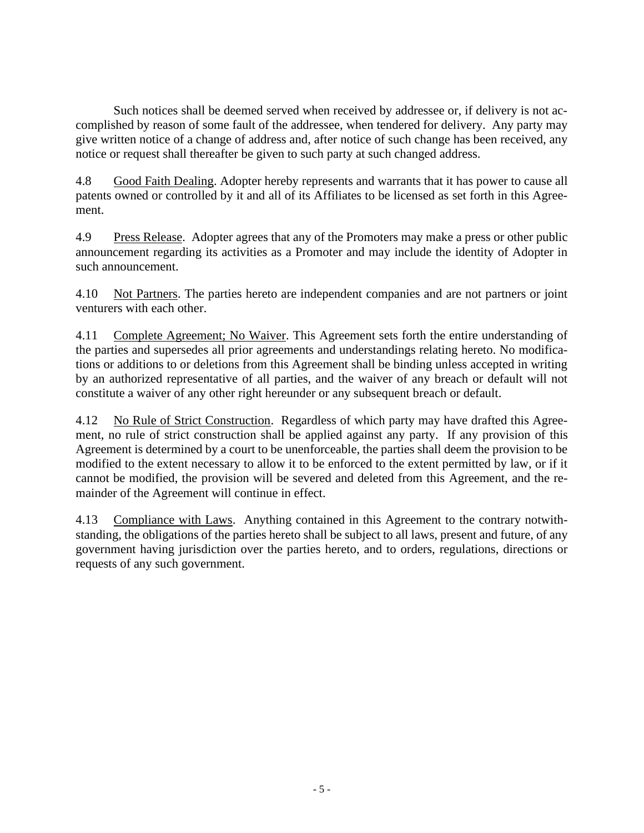Such notices shall be deemed served when received by addressee or, if delivery is not accomplished by reason of some fault of the addressee, when tendered for delivery. Any party may give written notice of a change of address and, after notice of such change has been received, any notice or request shall thereafter be given to such party at such changed address.

4.8 Good Faith Dealing. Adopter hereby represents and warrants that it has power to cause all patents owned or controlled by it and all of its Affiliates to be licensed as set forth in this Agreement.

4.9 Press Release. Adopter agrees that any of the Promoters may make a press or other public announcement regarding its activities as a Promoter and may include the identity of Adopter in such announcement.

4.10 Not Partners. The parties hereto are independent companies and are not partners or joint venturers with each other.

4.11 Complete Agreement; No Waiver. This Agreement sets forth the entire understanding of the parties and supersedes all prior agreements and understandings relating hereto. No modifications or additions to or deletions from this Agreement shall be binding unless accepted in writing by an authorized representative of all parties, and the waiver of any breach or default will not constitute a waiver of any other right hereunder or any subsequent breach or default.

4.12 No Rule of Strict Construction. Regardless of which party may have drafted this Agreement, no rule of strict construction shall be applied against any party. If any provision of this Agreement is determined by a court to be unenforceable, the parties shall deem the provision to be modified to the extent necessary to allow it to be enforced to the extent permitted by law, or if it cannot be modified, the provision will be severed and deleted from this Agreement, and the remainder of the Agreement will continue in effect.

4.13 Compliance with Laws. Anything contained in this Agreement to the contrary notwithstanding, the obligations of the parties hereto shall be subject to all laws, present and future, of any government having jurisdiction over the parties hereto, and to orders, regulations, directions or requests of any such government.